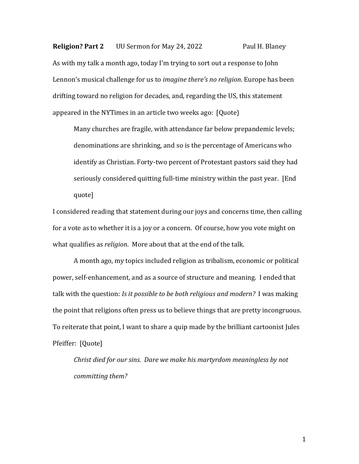**Religion? Part 2** UU Sermon for May 24, 2022 Paul H. Blaney As with my talk a month ago, today I'm trying to sort out a response to John Lennon's musical challenge for us to *imagine there's no religion*. Europe has been drifting toward no religion for decades, and, regarding the US, this statement appeared in the NYTimes in an article two weeks ago: [Quote}

Many churches are fragile, with attendance far below prepandemic levels; denominations are shrinking, and so is the percentage of Americans who identify as Christian. Forty-two percent of Protestant pastors said they had seriously considered quitting full-time ministry within the past year. [End quote]

I considered reading that statement during our joys and concerns time, then calling for a vote as to whether it is a joy or a concern. Of course, how you vote might on what qualifies as *religion*. More about that at the end of the talk.

A month ago, my topics included religion as tribalism, economic or political power, self-enhancement, and as a source of structure and meaning. I ended that talk with the question: *Is it possible to be both religious and modern?* I was making the point that religions often press us to believe things that are pretty incongruous. To reiterate that point, I want to share a quip made by the brilliant cartoonist Jules Pfeiffer: [Quote]

*Christ died for our sins. Dare we make his martyrdom meaningless by not committing them?*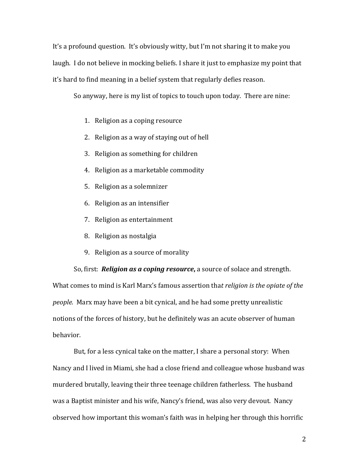It's a profound question. It's obviously witty, but I'm not sharing it to make you laugh. I do not believe in mocking beliefs. I share it just to emphasize my point that it's hard to find meaning in a belief system that regularly defies reason.

So anyway, here is my list of topics to touch upon today. There are nine:

- 1. Religion as a coping resource
- 2. Religion as a way of staying out of hell
- 3. Religion as something for children
- 4. Religion as a marketable commodity
- 5. Religion as a solemnizer
- 6. Religion as an intensifier
- 7. Religion as entertainment
- 8. Religion as nostalgia
- 9. Religion as a source of morality

So, first: *Religion as a coping resource***,** a source of solace and strength. What comes to mind is Karl Marx's famous assertion tha*t religion is the opiate of the people.* Marx may have been a bit cynical, and he had some pretty unrealistic notions of the forces of history, but he definitely was an acute observer of human behavior.

But, for a less cynical take on the matter, I share a personal story: When Nancy and I lived in Miami, she had a close friend and colleague whose husband was murdered brutally, leaving their three teenage children fatherless. The husband was a Baptist minister and his wife, Nancy's friend, was also very devout. Nancy observed how important this woman's faith was in helping her through this horrific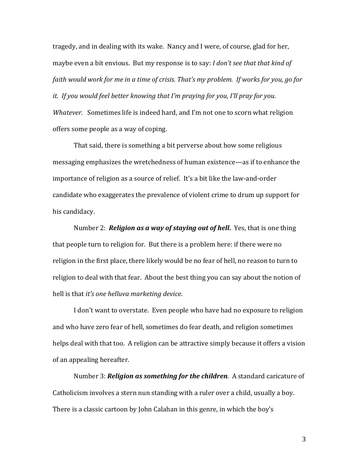tragedy, and in dealing with its wake. Nancy and I were, of course, glad for her, maybe even a bit envious. But my response is to say: *I don't see that that kind of faith would work for me in a time of crisis. That's my problem. If works for you, go for it. If you would feel better knowing that I'm praying for you, I'll pray for you. Whatever.* Sometimes life is indeed hard, and I'm not one to scorn what religion offers some people as a way of coping.

That said, there is something a bit perverse about how some religious messaging emphasizes the wretchedness of human existence—as if to enhance the importance of religion as a source of relief. It's a bit like the law-and-order candidate who exaggerates the prevalence of violent crime to drum up support for his candidacy.

Number 2: *Religion as a way of staying out of hell***.** Yes, that is one thing that people turn to religion for. But there is a problem here: if there were no religion in the first place, there likely would be no fear of hell, no reason to turn to religion to deal with that fear. About the best thing you can say about the notion of hell is that *it's one helluva marketing device*.

I don't want to overstate. Even people who have had no exposure to religion and who have zero fear of hell, sometimes do fear death, and religion sometimes helps deal with that too. A religion can be attractive simply because it offers a vision of an appealing hereafter.

Number 3: *Religion as something for the children.* A standard caricature of Catholicism involves a stern nun standing with a ruler over a child, usually a boy. There is a classic cartoon by John Calahan in this genre, in which the boy's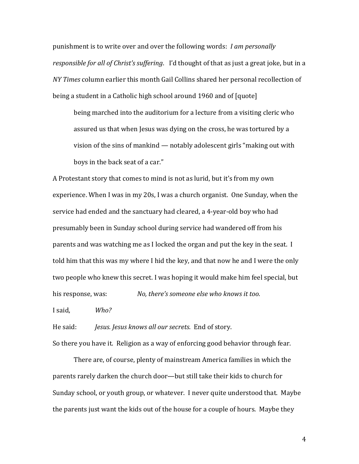punishment is to write over and over the following words: *I am personally responsible for all of Christ's suffering*. I'd thought of that as just a great joke, but in a *NY Times* column earlier this month Gail Collins shared her personal recollection of being a student in a Catholic high school around 1960 and of [quote]

being marched into the auditorium for a lecture from a visiting cleric who assured us that when Jesus was dying on the cross, he was tortured by a vision of the sins of mankind — notably adolescent girls "making out with boys in the back seat of a car."

A Protestant story that comes to mind is not as lurid, but it's from my own experience. When I was in my 20s, I was a church organist. One Sunday, when the service had ended and the sanctuary had cleared, a 4-year-old boy who had presumably been in Sunday school during service had wandered off from his parents and was watching me as I locked the organ and put the key in the seat. I told him that this was my where I hid the key, and that now he and I were the only two people who knew this secret. I was hoping it would make him feel special, but his response, was: *No, there's someone else who knows it too.*

I said, *Who?*

He said: *Jesus. Jesus knows all our secrets.* End of story. So there you have it. Religion as a way of enforcing good behavior through fear.

There are, of course, plenty of mainstream America families in which the parents rarely darken the church door—but still take their kids to church for Sunday school, or youth group, or whatever. I never quite understood that. Maybe the parents just want the kids out of the house for a couple of hours. Maybe they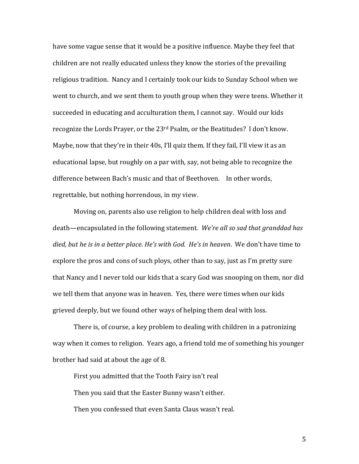have some vague sense that it would be a positive influence. Maybe they feel that children are not really educated unless they know the stories of the prevailing religious tradition. Nancy and I certainly took our kids to Sunday School when we went to church, and we sent them to youth group when they were teens. Whether it succeeded in educating and acculturation them, I cannot say. Would our kids recognize the Lords Prayer, or the 23rd Psalm, or the Beatitudes? I don't know. Maybe, now that they're in their 40s, I'll quiz them. If they fail, I'll view it as an educational lapse, but roughly on a par with, say, not being able to recognize the difference between Bach's music and that of Beethoven. In other words, regrettable, but nothing horrendous, in my view.

Moving on, parents also use religion to help children deal with loss and death—encapsulated in the following statement. *We're all so sad that granddad has died, but he is in a better place. He's with God. He's in heaven*. We don't have time to explore the pros and cons of such ploys, other than to say, just as I'm pretty sure that Nancy and I never told our kids that a scary God was snooping on them, nor did we tell them that anyone was in heaven. Yes, there were times when our kids grieved deeply, but we found other ways of helping them deal with loss.

There is, of course, a key problem to dealing with children in a patronizing way when it comes to religion. Years ago, a friend told me of something his younger brother had said at about the age of 8.

First you admitted that the Tooth Fairy isn't real Then you said that the Easter Bunny wasn't either. Then you confessed that even Santa Claus wasn't real.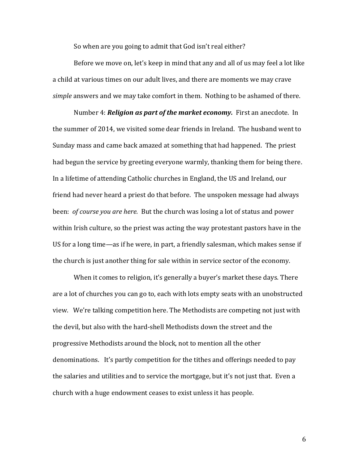So when are you going to admit that God isn't real either?

Before we move on, let's keep in mind that any and all of us may feel a lot like a child at various times on our adult lives, and there are moments we may crave *simple* answers and we may take comfort in them. Nothing to be ashamed of there.

Number 4: *Religion as part of the market economy.* First an anecdote. In the summer of 2014, we visited some dear friends in Ireland. The husband went to Sunday mass and came back amazed at something that had happened. The priest had begun the service by greeting everyone warmly, thanking them for being there. In a lifetime of attending Catholic churches in England, the US and Ireland, our friend had never heard a priest do that before. The unspoken message had always been: *of course you are here.* But the church was losing a lot of status and power within Irish culture, so the priest was acting the way protestant pastors have in the US for a long time—as if he were, in part, a friendly salesman, which makes sense if the church is just another thing for sale within in service sector of the economy.

When it comes to religion, it's generally a buyer's market these days. There are a lot of churches you can go to, each with lots empty seats with an unobstructed view. We're talking competition here. The Methodists are competing not just with the devil, but also with the hard-shell Methodists down the street and the progressive Methodists around the block, not to mention all the other denominations. It's partly competition for the tithes and offerings needed to pay the salaries and utilities and to service the mortgage, but it's not just that. Even a church with a huge endowment ceases to exist unless it has people.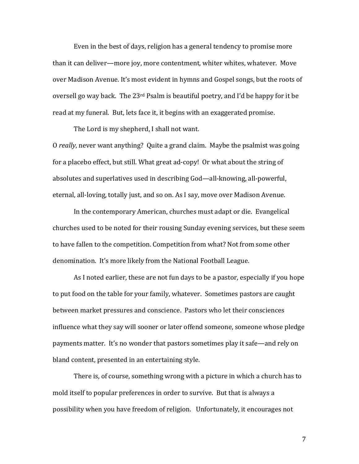Even in the best of days, religion has a general tendency to promise more than it can deliver—more joy, more contentment, whiter whites, whatever. Move over Madison Avenue. It's most evident in hymns and Gospel songs, but the roots of oversell go way back. The 23rd Psalm is beautiful poetry, and I'd be happy for it be read at my funeral. But, lets face it, it begins with an exaggerated promise.

The Lord is my shepherd, I shall not want.

O *really*, never want anything? Quite a grand claim. Maybe the psalmist was going for a placebo effect, but still. What great ad-copy! Or what about the string of absolutes and superlatives used in describing God—all-knowing, all-powerful, eternal, all-loving, totally just, and so on. As I say, move over Madison Avenue.

In the contemporary American, churches must adapt or die. Evangelical churches used to be noted for their rousing Sunday evening services, but these seem to have fallen to the competition. Competition from what? Not from some other denomination. It's more likely from the National Football League.

As I noted earlier, these are not fun days to be a pastor, especially if you hope to put food on the table for your family, whatever. Sometimes pastors are caught between market pressures and conscience. Pastors who let their consciences influence what they say will sooner or later offend someone, someone whose pledge payments matter. It's no wonder that pastors sometimes play it safe—and rely on bland content, presented in an entertaining style.

There is, of course, something wrong with a picture in which a church has to mold itself to popular preferences in order to survive. But that is always a possibility when you have freedom of religion. Unfortunately, it encourages not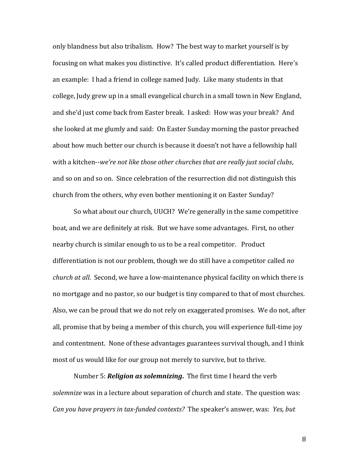only blandness but also tribalism. How? The best way to market yourself is by focusing on what makes you distinctive. It's called product differentiation. Here's an example: I had a friend in college named Judy. Like many students in that college, Judy grew up in a small evangelical church in a small town in New England, and she'd just come back from Easter break. I asked: How was your break? And she looked at me glumly and said: On Easter Sunday morning the pastor preached about how much better our church is because it doesn't not have a fellowship hall with a kitchen--*we're not like those other churches that are really just social clubs*, and so on and so on. Since celebration of the resurrection did not distinguish this church from the others, why even bother mentioning it on Easter Sunday?

So what about our church, UUCH? We're generally in the same competitive boat, and we are definitely at risk. But we have some advantages. First, no other nearby church is similar enough to us to be a real competitor. Product differentiation is not our problem, though we do still have a competitor called *no church at all*. Second, we have a low-maintenance physical facility on which there is no mortgage and no pastor, so our budget is tiny compared to that of most churches. Also, we can be proud that we do not rely on exaggerated promises. We do not, after all, promise that by being a member of this church, you will experience full-time joy and contentment. None of these advantages guarantees survival though, and I think most of us would like for our group not merely to survive, but to thrive.

Number 5: *Religion as solemnizing***.** The first time I heard the verb *solemnize* was in a lecture about separation of church and state. The question was: *Can you have prayers in tax-funded contexts?* The speaker's answer, was: *Yes, but*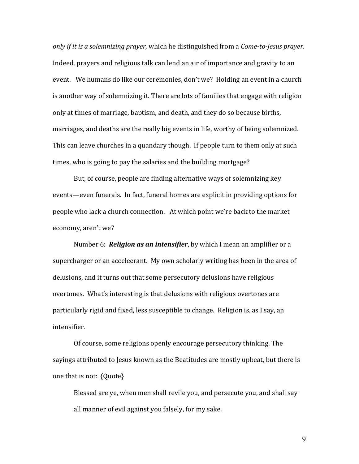*only if it is a solemnizing prayer,* which he distinguished from a *Come-to-Jesus prayer*. Indeed, prayers and religious talk can lend an air of importance and gravity to an event. We humans do like our ceremonies, don't we? Holding an event in a church is another way of solemnizing it. There are lots of families that engage with religion only at times of marriage, baptism, and death, and they do so because births, marriages, and deaths are the really big events in life, worthy of being solemnized. This can leave churches in a quandary though. If people turn to them only at such times, who is going to pay the salaries and the building mortgage?

But, of course, people are finding alternative ways of solemnizing key events—even funerals. In fact, funeral homes are explicit in providing options for people who lack a church connection. At which point we're back to the market economy, aren't we?

Number 6: *Religion as an intensifier*, by which I mean an amplifier or a supercharger or an acceleerant. My own scholarly writing has been in the area of delusions, and it turns out that some persecutory delusions have religious overtones. What's interesting is that delusions with religious overtones are particularly rigid and fixed, less susceptible to change. Religion is, as I say, an intensifier.

Of course, some religions openly encourage persecutory thinking. The sayings attributed to Jesus known as the Beatitudes are mostly upbeat, but there is one that is not: {Quote}

Blessed are ye, when men shall revile you, and persecute you, and shall say all manner of evil against you falsely, for my sake.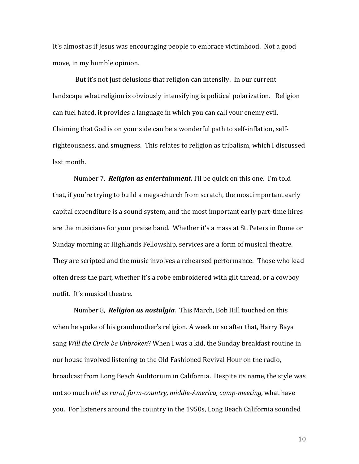It's almost as if Jesus was encouraging people to embrace victimhood. Not a good move, in my humble opinion.

But it's not just delusions that religion can intensify. In our current landscape what religion is obviously intensifying is political polarization. Religion can fuel hated, it provides a language in which you can call your enemy evil. Claiming that God is on your side can be a wonderful path to self-inflation, selfrighteousness, and smugness. This relates to religion as tribalism, which I discussed last month.

Number 7. *Religion as entertainment.* I'll be quick on this one. I'm told that, if you're trying to build a mega-church from scratch, the most important early capital expenditure is a sound system, and the most important early part-time hires are the musicians for your praise band. Whether it's a mass at St. Peters in Rome or Sunday morning at Highlands Fellowship, services are a form of musical theatre. They are scripted and the music involves a rehearsed performance. Those who lead often dress the part, whether it's a robe embroidered with gilt thread, or a cowboy outfit. It's musical theatre.

Number 8, *Religion as nostalgia.* This March, Bob Hill touched on this when he spoke of his grandmother's religion. A week or so after that, Harry Baya sang *Will the Circle be Unbroken*? When I was a kid, the Sunday breakfast routine in our house involved listening to the Old Fashioned Revival Hour on the radio, broadcast from Long Beach Auditorium in California. Despite its name, the style was not so much *old* as *rural, farm-country, middle-America, camp-meeting,* what have you. For listeners around the country in the 1950s, Long Beach California sounded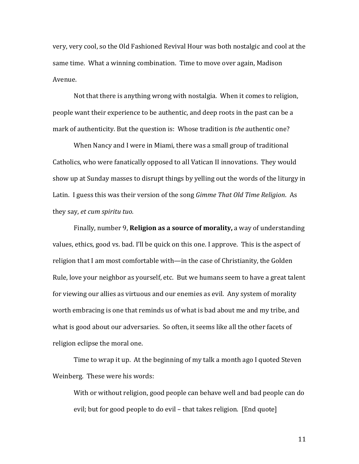very, very cool, so the Old Fashioned Revival Hour was both nostalgic and cool at the same time. What a winning combination. Time to move over again, Madison Avenue.

Not that there is anything wrong with nostalgia. When it comes to religion, people want their experience to be authentic, and deep roots in the past can be a mark of authenticity. But the question is: Whose tradition is *the* authentic one?

When Nancy and I were in Miami, there was a small group of traditional Catholics, who were fanatically opposed to all Vatican II innovations. They would show up at Sunday masses to disrupt things by yelling out the words of the liturgy in Latin. I guess this was their version of the song *Gimme That Old Time Religion*. As they say, *et cum spiritu tuo.*

Finally, number 9, **Religion as a source of morality,** a way of understanding values, ethics, good vs. bad. I'll be quick on this one. I approve. This is the aspect of religion that I am most comfortable with—in the case of Christianity, the Golden Rule, love your neighbor as yourself, etc. But we humans seem to have a great talent for viewing our allies as virtuous and our enemies as evil. Any system of morality worth embracing is one that reminds us of what is bad about me and my tribe, and what is good about our adversaries. So often, it seems like all the other facets of religion eclipse the moral one.

Time to wrap it up. At the beginning of my talk a month ago I quoted Steven Weinberg. These were his words:

With or without religion, good people can behave well and bad people can do evil; but for good people to do evil – that takes religion. [End quote]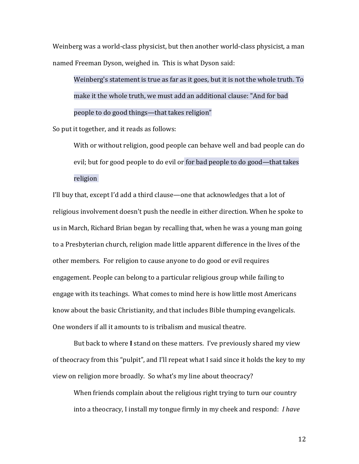Weinberg was a world-class physicist, but then another world-class physicist, a man named Freeman Dyson, weighed in. This is what Dyson said:

Weinberg's statement is true as far as it goes, but it is not the whole truth. To make it the whole truth, we must add an additional clause: "And for bad people to do good things—that takes religion"

So put it together, and it reads as follows:

With or without religion, good people can behave well and bad people can do evil; but for good people to do evil or for bad people to do good—that takes religion

I'll buy that, except I'd add a third clause—one that acknowledges that a lot of religious involvement doesn't push the needle in either direction. When he spoke to us in March, Richard Brian began by recalling that, when he was a young man going to a Presbyterian church, religion made little apparent difference in the lives of the other members. For religion to cause anyone to do good or evil requires engagement. People can belong to a particular religious group while failing to engage with its teachings. What comes to mind here is how little most Americans know about the basic Christianity, and that includes Bible thumping evangelicals. One wonders if all it amounts to is tribalism and musical theatre.

But back to where **I** stand on these matters. I've previously shared my view of theocracy from this "pulpit", and I'll repeat what I said since it holds the key to my view on religion more broadly. So what's my line about theocracy?

When friends complain about the religious right trying to turn our country into a theocracy, I install my tongue firmly in my cheek and respond: *I have*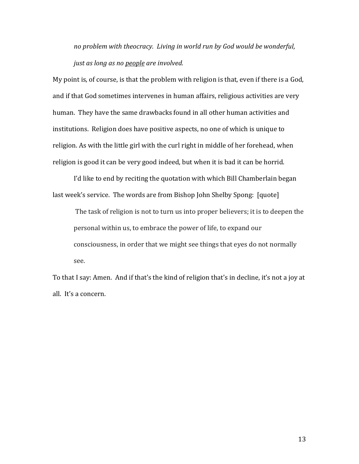*no problem with theocracy. Living in world run by God would be wonderful, just as long as no people are involved.* 

My point is, of course, is that the problem with religion is that, even if there is a God, and if that God sometimes intervenes in human affairs, religious activities are very human. They have the same drawbacks found in all other human activities and institutions. Religion does have positive aspects, no one of which is unique to religion. As with the little girl with the curl right in middle of her forehead, when religion is good it can be very good indeed, but when it is bad it can be horrid.

I'd like to end by reciting the quotation with which Bill Chamberlain began last week's service. The words are from Bishop John Shelby Spong: [quote]

The task of religion is not to turn us into proper believers; it is to deepen the personal within us, to embrace the power of life, to expand our consciousness, in order that we might see things that eyes do not normally see.

To that I say: Amen. And if that's the kind of religion that's in decline, it's not a joy at all. It's a concern.